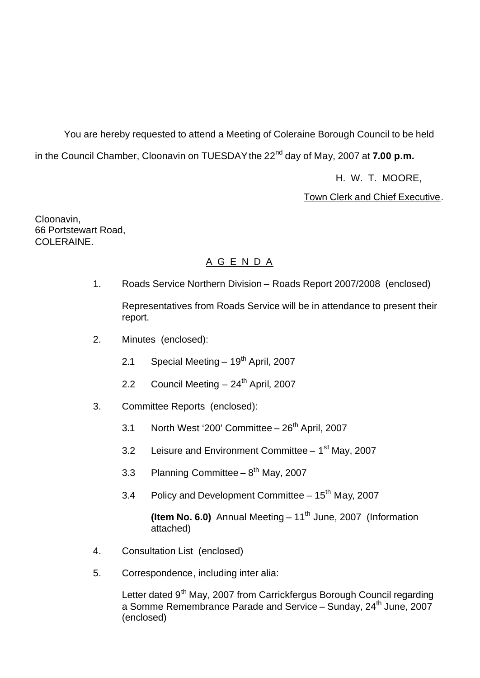You are hereby requested to attend a Meeting of Coleraine Borough Council to be held in the Council Chamber, Cloonavin on TUESDAY the 22<sup>nd</sup> day of May, 2007 at **7.00 p.m.** 

H. W. T. MOORE,

Town Clerk and Chief Executive.

Cloonavin, 66 Portstewart Road, COLERAINE.

# A G E N D A

1. Roads Service Northern Division – Roads Report 2007/2008 (enclosed)

Representatives from Roads Service will be in attendance to present their report.

- 2. Minutes (enclosed):
	- 2.1 Special Meeting  $-19^{th}$  April, 2007
	- 2.2 Council Meeting 24<sup>th</sup> April, 2007
- 3. Committee Reports (enclosed):
	- 3.1 North West '200' Committee  $-26<sup>th</sup>$  April, 2007
	- 3.2 Leisure and Environment Committee 1<sup>st</sup> May, 2007
	- 3.3 Planning Committee  $-8<sup>th</sup>$  May, 2007
	- 3.4 Policy and Development Committee 15<sup>th</sup> May, 2007

**(Item No. 6.0)** Annual Meeting – 11<sup>th</sup> June, 2007 (Information attached)

- 4. Consultation List (enclosed)
- 5. Correspondence, including inter alia:

Letter dated 9<sup>th</sup> May, 2007 from Carrickfergus Borough Council regarding a Somme Remembrance Parade and Service – Sunday, 24<sup>th</sup> June, 2007 (enclosed)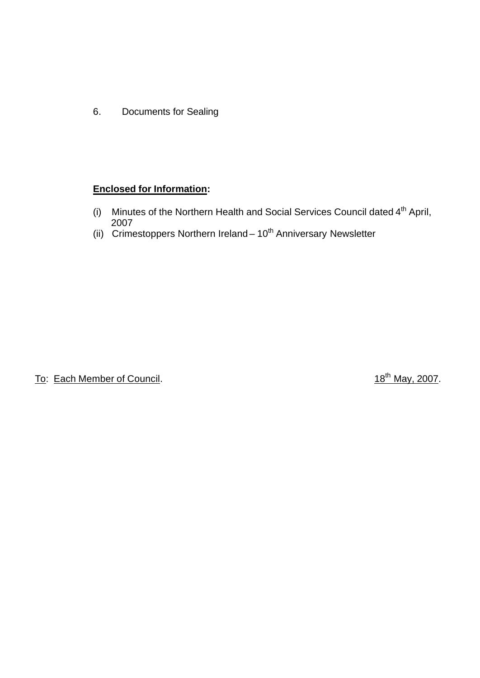6. Documents for Sealing

# **Enclosed for Information:**

- (i) Minutes of the Northern Health and Social Services Council dated  $4<sup>th</sup>$  April, 2007
- (ii) Crimestoppers Northern Ireland 10<sup>th</sup> Anniversary Newsletter

To: Each Member of Council. To: Each Member of Council.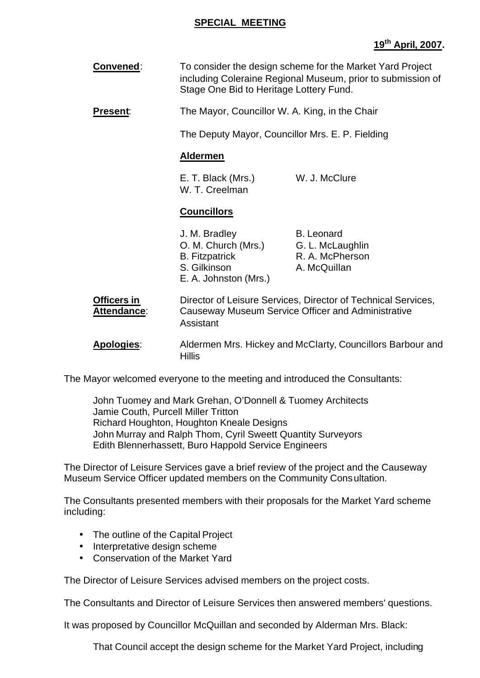#### **SPECIAL MEETING**

# **19th April, 2007.**

**Convened:** To consider the design scheme for the Market Yard Project including Coleraine Regional Museum, prior to submission of Stage One Bid to Heritage Lottery Fund.

**Present:** The Mayor, Councillor W. A. King, in the Chair

The Deputy Mayor, Councillor Mrs. E. P. Fielding

#### **Aldermen**

E. T. Black (Mrs.) W. J. McClure W. T. Creelman

#### **Councillors**

| J. M. Bradley         | <b>B.</b> Leonard |
|-----------------------|-------------------|
| O. M. Church (Mrs.)   | G. L. McLaughlin  |
| <b>B.</b> Fitzpatrick | R. A. McPherson   |
| S. Gilkinson          | A. McQuillan      |
| E. A. Johnston (Mrs.) |                   |

**Officers in <b>Director of Leisure Services**, Director of Technical Services, **Attendance**: Causeway Museum Service Officer and Administrative Assistant

**Apologies**: Aldermen Mrs. Hickey and McClarty, Councillors Barbour and Hillis

The Mayor welcomed everyone to the meeting and introduced the Consultants:

John Tuomey and Mark Grehan, O'Donnell & Tuomey Architects Jamie Couth, Purcell Miller Tritton Richard Houghton, Houghton Kneale Designs John Murray and Ralph Thom, Cyril Sweett Quantity Surveyors Edith Blennerhassett, Buro Happold Service Engineers

The Director of Leisure Services gave a brief review of the project and the Causeway Museum Service Officer updated members on the Community Consultation.

The Consultants presented members with their proposals for the Market Yard scheme including:

- The outline of the Capital Project
- Interpretative design scheme
- Conservation of the Market Yard

The Director of Leisure Services advised members on the project costs.

The Consultants and Director of Leisure Services then answered members' questions.

It was proposed by Councillor McQuillan and seconded by Alderman Mrs. Black:

That Council accept the design scheme for the Market Yard Project, including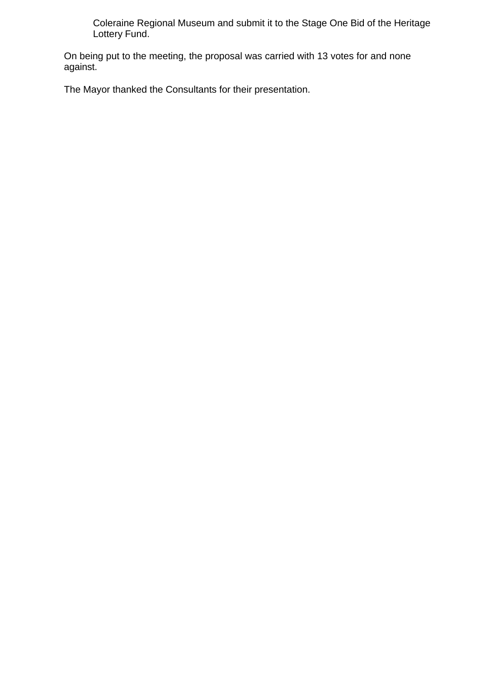Coleraine Regional Museum and submit it to the Stage One Bid of the Heritage Lottery Fund.

On being put to the meeting, the proposal was carried with 13 votes for and none against.

The Mayor thanked the Consultants for their presentation.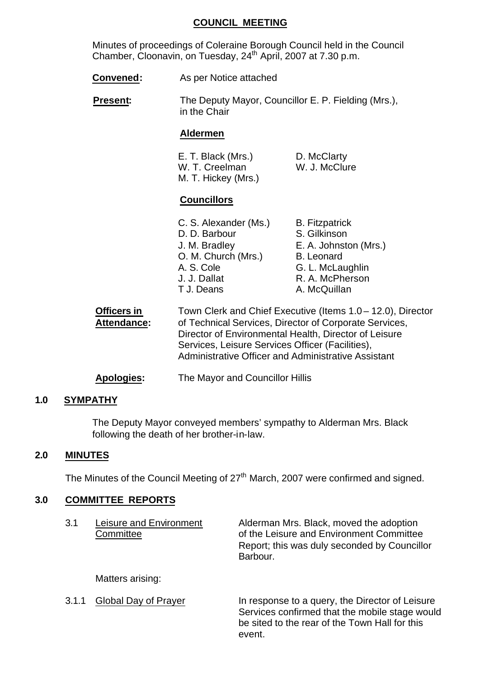#### **COUNCIL MEETING**

Minutes of proceedings of Coleraine Borough Council held in the Council Chamber, Cloonavin, on Tuesday, 24<sup>th</sup> April, 2007 at 7.30 p.m.

- **Convened:** As per Notice attached
- **Present:** The Deputy Mayor, Councillor E. P. Fielding (Mrs.), in the Chair

#### **Aldermen**

| E. T. Black (Mrs.)  | D. McClarty   |
|---------------------|---------------|
| W. T. Creelman      | W. J. McClure |
| M. T. Hickey (Mrs.) |               |

#### **Councillors**

| C. S. Alexander (Ms.) | <b>B.</b> Fitzpatrick |
|-----------------------|-----------------------|
| D. D. Barbour         | S. Gilkinson          |
| J. M. Bradley         | E. A. Johnston (Mrs.) |
| O. M. Church (Mrs.)   | <b>B.</b> Leonard     |
| A. S. Cole            | G. L. McLaughlin      |
| J. J. Dallat          | R. A. McPherson       |
| T J. Deans            | A. McQuillan          |
|                       |                       |

| <b>Officers in</b> | Town Clerk and Chief Executive (Items 1.0 – 12.0), Director |
|--------------------|-------------------------------------------------------------|
| Attendance:        | of Technical Services, Director of Corporate Services,      |
|                    | Director of Environmental Health, Director of Leisure       |
|                    | Services, Leisure Services Officer (Facilities),            |
|                    | Administrative Officer and Administrative Assistant         |
|                    |                                                             |

**Apologies:** The Mayor and Councillor Hillis

#### **1.0 SYMPATHY**

The Deputy Mayor conveyed members' sympathy to Alderman Mrs. Black following the death of her brother-in-law.

#### **2.0 MINUTES**

The Minutes of the Council Meeting of 27<sup>th</sup> March, 2007 were confirmed and signed.

#### **3.0 COMMITTEE REPORTS**

| 3.1   | Leisure and Environment<br>Committee | Alderman Mrs. Black, moved the adoption<br>of the Leisure and Environment Committee<br>Report; this was duly seconded by Councillor<br>Barbour.               |
|-------|--------------------------------------|---------------------------------------------------------------------------------------------------------------------------------------------------------------|
|       | Matters arising:                     |                                                                                                                                                               |
| 3.1.1 | <b>Global Day of Prayer</b>          | In response to a query, the Director of Leisure<br>Services confirmed that the mobile stage would<br>be sited to the rear of the Town Hall for this<br>event. |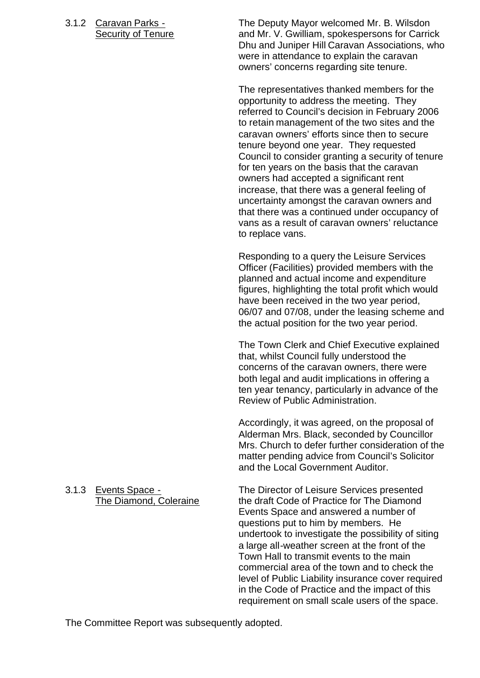3.1.2 Caravan Parks - The Deputy Mayor welcomed Mr. B. Wilsdon Security of Tenure **and Mr. V. Gwilliam, spokespersons for Carrick** Dhu and Juniper Hill Caravan Associations, who were in attendance to explain the caravan owners' concerns regarding site tenure.

> The representatives thanked members for the opportunity to address the meeting. They referred to Council's decision in February 2006 to retain management of the two sites and the caravan owners' efforts since then to secure tenure beyond one year. They requested Council to consider granting a security of tenure for ten years on the basis that the caravan owners had accepted a significant rent increase, that there was a general feeling of uncertainty amongst the caravan owners and that there was a continued under occupancy of vans as a result of caravan owners' reluctance to replace vans.

> Responding to a query the Leisure Services Officer (Facilities) provided members with the planned and actual income and expenditure figures, highlighting the total profit which would have been received in the two year period, 06/07 and 07/08, under the leasing scheme and the actual position for the two year period.

The Town Clerk and Chief Executive explained that, whilst Council fully understood the concerns of the caravan owners, there were both legal and audit implications in offering a ten year tenancy, particularly in advance of the Review of Public Administration.

Accordingly, it was agreed, on the proposal of Alderman Mrs. Black, seconded by Councillor Mrs. Church to defer further consideration of the matter pending advice from Council's Solicitor and the Local Government Auditor.

3.1.3 Events Space - The Director of Leisure Services presented The Diamond, Coleraine the draft Code of Practice for The Diamond Events Space and answered a number of questions put to him by members. He undertook to investigate the possibility of siting a large all-weather screen at the front of the Town Hall to transmit events to the main commercial area of the town and to check the level of Public Liability insurance cover required in the Code of Practice and the impact of this requirement on small scale users of the space.

The Committee Report was subsequently adopted.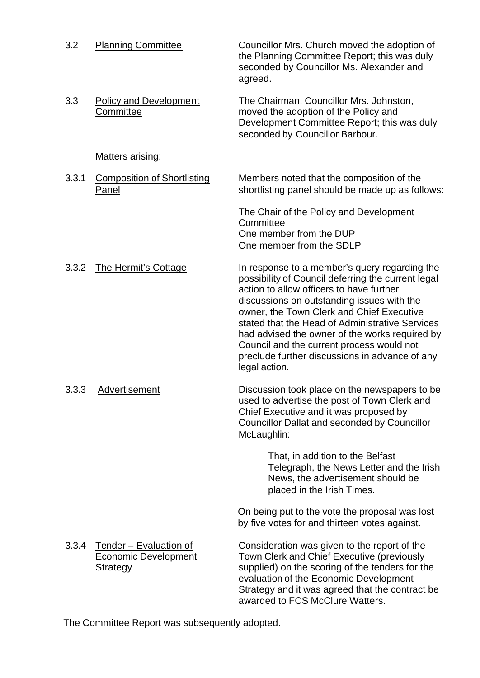| 3.2   | <b>Planning Committee</b>                                                | Councillor Mrs. Church moved the adoption of<br>the Planning Committee Report; this was duly<br>seconded by Councillor Ms. Alexander and<br>agreed.                                                                                                                                                                                                                                                                                                             |
|-------|--------------------------------------------------------------------------|-----------------------------------------------------------------------------------------------------------------------------------------------------------------------------------------------------------------------------------------------------------------------------------------------------------------------------------------------------------------------------------------------------------------------------------------------------------------|
| 3.3   | <b>Policy and Development</b><br>Committee                               | The Chairman, Councillor Mrs. Johnston,<br>moved the adoption of the Policy and<br>Development Committee Report; this was duly<br>seconded by Councillor Barbour.                                                                                                                                                                                                                                                                                               |
|       | Matters arising:                                                         |                                                                                                                                                                                                                                                                                                                                                                                                                                                                 |
| 3.3.1 | <b>Composition of Shortlisting</b><br><b>Panel</b>                       | Members noted that the composition of the<br>shortlisting panel should be made up as follows:                                                                                                                                                                                                                                                                                                                                                                   |
|       |                                                                          | The Chair of the Policy and Development<br>Committee<br>One member from the DUP<br>One member from the SDLP                                                                                                                                                                                                                                                                                                                                                     |
| 3.3.2 | <b>The Hermit's Cottage</b>                                              | In response to a member's query regarding the<br>possibility of Council deferring the current legal<br>action to allow officers to have further<br>discussions on outstanding issues with the<br>owner, the Town Clerk and Chief Executive<br>stated that the Head of Administrative Services<br>had advised the owner of the works required by<br>Council and the current process would not<br>preclude further discussions in advance of any<br>legal action. |
| 3.3.3 | Advertisement                                                            | Discussion took place on the newspapers to be<br>used to advertise the post of Town Clerk and<br>Chief Executive and it was proposed by<br><b>Councillor Dallat and seconded by Councillor</b><br>McLaughlin:                                                                                                                                                                                                                                                   |
|       |                                                                          | That, in addition to the Belfast<br>Telegraph, the News Letter and the Irish<br>News, the advertisement should be<br>placed in the Irish Times.                                                                                                                                                                                                                                                                                                                 |
|       |                                                                          | On being put to the vote the proposal was lost<br>by five votes for and thirteen votes against.                                                                                                                                                                                                                                                                                                                                                                 |
| 3.3.4 | Tender - Evaluation of<br><b>Economic Development</b><br><b>Strategy</b> | Consideration was given to the report of the<br>Town Clerk and Chief Executive (previously<br>supplied) on the scoring of the tenders for the<br>evaluation of the Economic Development<br>Strategy and it was agreed that the contract be<br>awarded to FCS McClure Watters.                                                                                                                                                                                   |

The Committee Report was subsequently adopted.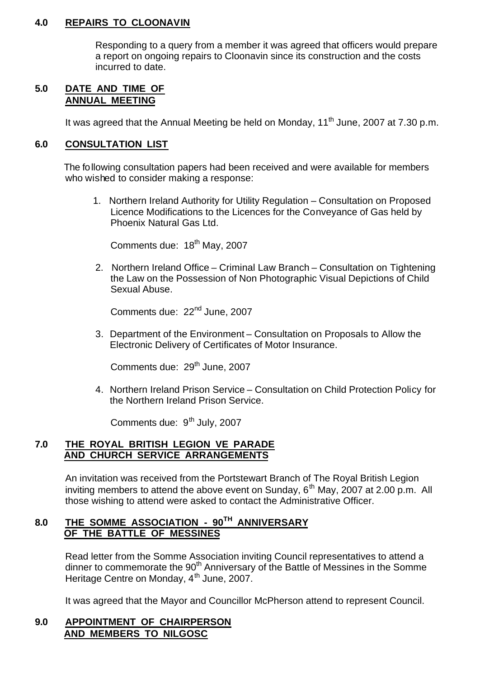#### **4.0 REPAIRS TO CLOONAVIN**

Responding to a query from a member it was agreed that officers would prepare a report on ongoing repairs to Cloonavin since its construction and the costs incurred to date.

#### **5.0 DATE AND TIME OF ANNUAL MEETING**

It was agreed that the Annual Meeting be held on Monday,  $11<sup>th</sup>$  June, 2007 at 7.30 p.m.

#### **6.0 CONSULTATION LIST**

The following consultation papers had been received and were available for members who wished to consider making a response:

1. Northern Ireland Authority for Utility Regulation – Consultation on Proposed Licence Modifications to the Licences for the Conveyance of Gas held by Phoenix Natural Gas Ltd.

Comments due: 18<sup>th</sup> May, 2007

2. Northern Ireland Office – Criminal Law Branch – Consultation on Tightening the Law on the Possession of Non Photographic Visual Depictions of Child Sexual Abuse.

Comments due: 22<sup>nd</sup> June, 2007

3. Department of the Environment – Consultation on Proposals to Allow the Electronic Delivery of Certificates of Motor Insurance.

Comments due: 29<sup>th</sup> June, 2007

4. Northern Ireland Prison Service – Consultation on Child Protection Policy for the Northern Ireland Prison Service.

Comments due: 9<sup>th</sup> July, 2007

#### **7.0 THE ROYAL BRITISH LEGION VE PARADE AND CHURCH SERVICE ARRANGEMENTS**

An invitation was received from the Portstewart Branch of The Royal British Legion inviting members to attend the above event on Sunday,  $6<sup>th</sup>$  May, 2007 at 2.00 p.m. All those wishing to attend were asked to contact the Administrative Officer.

# **8.0 THE SOMME ASSOCIATION - 90TH ANNIVERSARY OF THE BATTLE OF MESSINES**

Read letter from the Somme Association inviting Council representatives to attend a dinner to commemorate the 90<sup>th</sup> Anniversary of the Battle of Messines in the Somme Heritage Centre on Monday, 4<sup>th</sup> June, 2007.

It was agreed that the Mayor and Councillor McPherson attend to represent Council.

#### **9.0 APPOINTMENT OF CHAIRPERSON AND MEMBERS TO NILGOSC**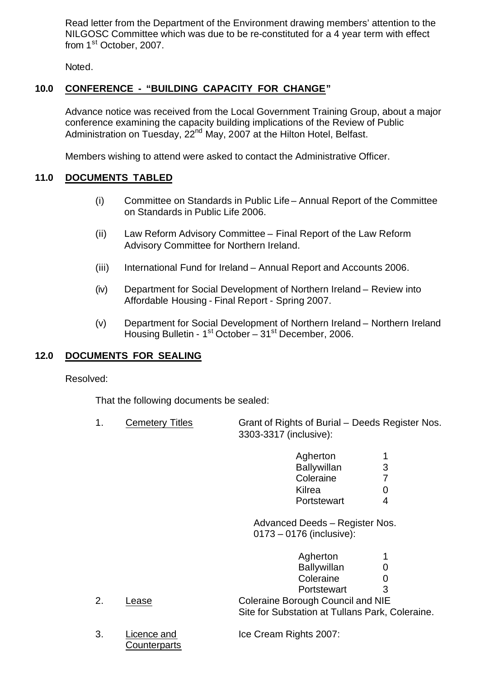Read letter from the Department of the Environment drawing members' attention to the NILGOSC Committee which was due to be re-constituted for a 4 year term with effect from 1<sup>st</sup> October, 2007.

Noted.

# **10.0 CONFERENCE - "BUILDING CAPACITY FOR CHANGE"**

Advance notice was received from the Local Government Training Group, about a major conference examining the capacity building implications of the Review of Public Administration on Tuesday, 22<sup>nd</sup> May, 2007 at the Hilton Hotel, Belfast.

Members wishing to attend were asked to contact the Administrative Officer.

### **11.0 DOCUMENTS TABLED**

- (i) Committee on Standards in Public Life Annual Report of the Committee on Standards in Public Life 2006.
- (ii) Law Reform Advisory Committee Final Report of the Law Reform Advisory Committee for Northern Ireland.
- (iii) International Fund for Ireland Annual Report and Accounts 2006.
- (iv) Department for Social Development of Northern Ireland Review into Affordable Housing - Final Report - Spring 2007.
- (v) Department for Social Development of Northern Ireland Northern Ireland Housing Bulletin - 1<sup>st</sup> October - 31<sup>st</sup> December, 2006.

#### **12.0 DOCUMENTS FOR SEALING**

#### Resolved:

That the following documents be sealed:

1. Cemetery Titles Grant of Rights of Burial – Deeds Register Nos. 3303-3317 (inclusive):

| Agherton    |   |
|-------------|---|
| Ballywillan | 3 |
| Coleraine   | 7 |
| Kilrea      | 0 |
| Portstewart | Δ |

Advanced Deeds – Register Nos. 0173 – 0176 (inclusive):

| Agherton           | 1            |
|--------------------|--------------|
| <b>Ballywillan</b> | $\mathbf{0}$ |
| Coleraine          | 0            |
| Portstewart        | 3            |

2. Lease Coleraine Borough Council and NIE Site for Substation at Tullans Park, Coleraine.

**Counterparts** 

3. Licence and Ice Cream Rights 2007: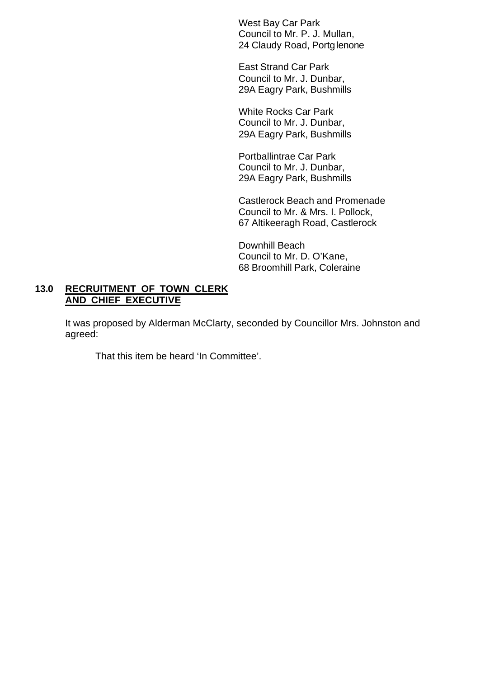West Bay Car Park Council to Mr. P. J. Mullan, 24 Claudy Road, Portglenone

East Strand Car Park Council to Mr. J. Dunbar, 29A Eagry Park, Bushmills

White Rocks Car Park Council to Mr. J. Dunbar, 29A Eagry Park, Bushmills

Portballintrae Car Park Council to Mr. J. Dunbar, 29A Eagry Park, Bushmills

Castlerock Beach and Promenade Council to Mr. & Mrs. I. Pollock, 67 Altikeeragh Road, Castlerock

Downhill Beach Council to Mr. D. O'Kane, 68 Broomhill Park, Coleraine

# **13.0 RECRUITMENT OF TOWN CLERK AND CHIEF EXECUTIVE**

It was proposed by Alderman McClarty, seconded by Councillor Mrs. Johnston and agreed:

That this item be heard 'In Committee'.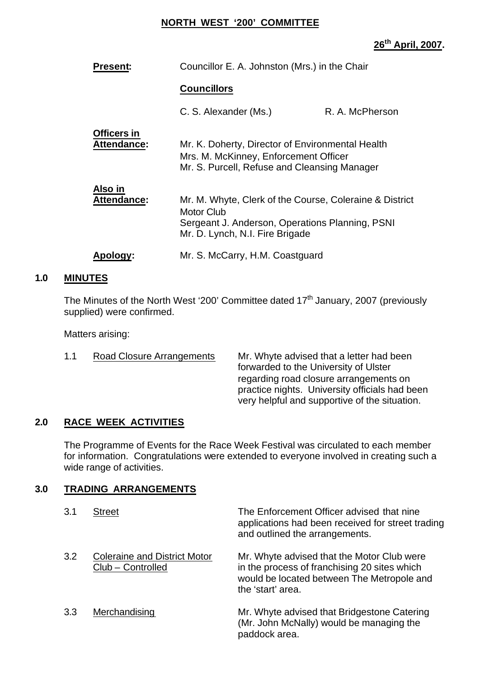#### **NORTH WEST '200' COMMITTEE**

# **26th April, 2007.**

| <b>Present:</b>                          | Councillor E. A. Johnston (Mrs.) in the Chair                                                                                                                      |                                                                                                                                           |  |
|------------------------------------------|--------------------------------------------------------------------------------------------------------------------------------------------------------------------|-------------------------------------------------------------------------------------------------------------------------------------------|--|
|                                          | <b>Councillors</b>                                                                                                                                                 |                                                                                                                                           |  |
|                                          | C. S. Alexander (Ms.)                                                                                                                                              | R. A. McPherson                                                                                                                           |  |
| <b>Officers in</b><br><b>Attendance:</b> |                                                                                                                                                                    | Mr. K. Doherty, Director of Environmental Health<br>Mrs. M. McKinney, Enforcement Officer<br>Mr. S. Purcell, Refuse and Cleansing Manager |  |
| Also in<br><b>Attendance:</b>            | Mr. M. Whyte, Clerk of the Course, Coleraine & District<br><b>Motor Club</b><br>Sergeant J. Anderson, Operations Planning, PSNI<br>Mr. D. Lynch, N.I. Fire Brigade |                                                                                                                                           |  |
| <b>Apology:</b>                          | Mr. S. McCarry, H.M. Coastguard                                                                                                                                    |                                                                                                                                           |  |

# **1.0 MINUTES**

The Minutes of the North West '200' Committee dated  $17<sup>th</sup>$  January, 2007 (previously supplied) were confirmed.

Matters arising:

1.1 Road Closure Arrangements Mr. Whyte advised that a letter had been forwarded to the University of Ulster regarding road closure arrangements on practice nights. University officials had been very helpful and supportive of the situation.

#### **2.0 RACE WEEK ACTIVITIES**

The Programme of Events for the Race Week Festival was circulated to each member for information. Congratulations were extended to everyone involved in creating such a wide range of activities.

#### **3.0 TRADING ARRANGEMENTS**

| 3.1 | <b>Street</b>                                            | The Enforcement Officer advised that nine<br>applications had been received for street trading<br>and outlined the arrangements.                              |
|-----|----------------------------------------------------------|---------------------------------------------------------------------------------------------------------------------------------------------------------------|
| 3.2 | <b>Coleraine and District Motor</b><br>Club - Controlled | Mr. Whyte advised that the Motor Club were<br>in the process of franchising 20 sites which<br>would be located between The Metropole and<br>the 'start' area. |
| 3.3 | Merchandising                                            | Mr. Whyte advised that Bridgestone Catering<br>(Mr. John McNally) would be managing the<br>paddock area.                                                      |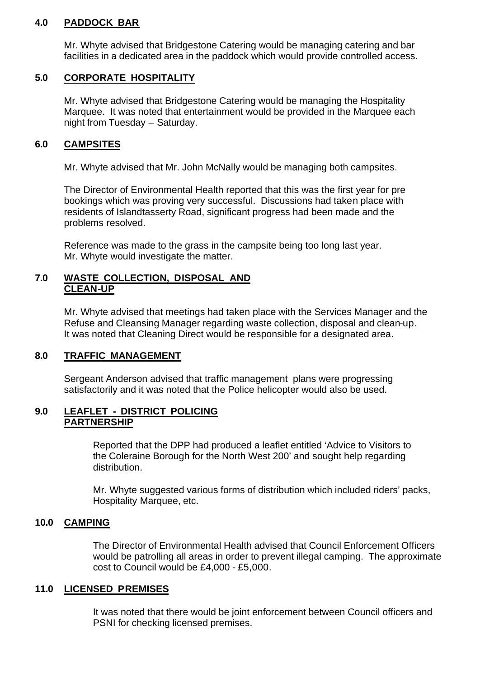#### **4.0 PADDOCK BAR**

Mr. Whyte advised that Bridgestone Catering would be managing catering and bar facilities in a dedicated area in the paddock which would provide controlled access.

### **5.0 CORPORATE HOSPITALITY**

Mr. Whyte advised that Bridgestone Catering would be managing the Hospitality Marquee. It was noted that entertainment would be provided in the Marquee each night from Tuesday – Saturday.

# **6.0 CAMPSITES**

Mr. Whyte advised that Mr. John McNally would be managing both campsites.

The Director of Environmental Health reported that this was the first year for pre bookings which was proving very successful. Discussions had taken place with residents of Islandtasserty Road, significant progress had been made and the problems resolved.

Reference was made to the grass in the campsite being too long last year. Mr. Whyte would investigate the matter.

#### **7.0 WASTE COLLECTION, DISPOSAL AND CLEAN-UP**

Mr. Whyte advised that meetings had taken place with the Services Manager and the Refuse and Cleansing Manager regarding waste collection, disposal and clean-up. It was noted that Cleaning Direct would be responsible for a designated area.

#### **8.0 TRAFFIC MANAGEMENT**

Sergeant Anderson advised that traffic management plans were progressing satisfactorily and it was noted that the Police helicopter would also be used.

#### **9.0 LEAFLET - DISTRICT POLICING PARTNERSHIP**

Reported that the DPP had produced a leaflet entitled 'Advice to Visitors to the Coleraine Borough for the North West 200' and sought help regarding distribution.

Mr. Whyte suggested various forms of distribution which included riders' packs, Hospitality Marquee, etc.

#### **10.0 CAMPING**

The Director of Environmental Health advised that Council Enforcement Officers would be patrolling all areas in order to prevent illegal camping. The approximate cost to Council would be £4,000 - £5,000.

# **11.0 LICENSED PREMISES**

It was noted that there would be joint enforcement between Council officers and PSNI for checking licensed premises.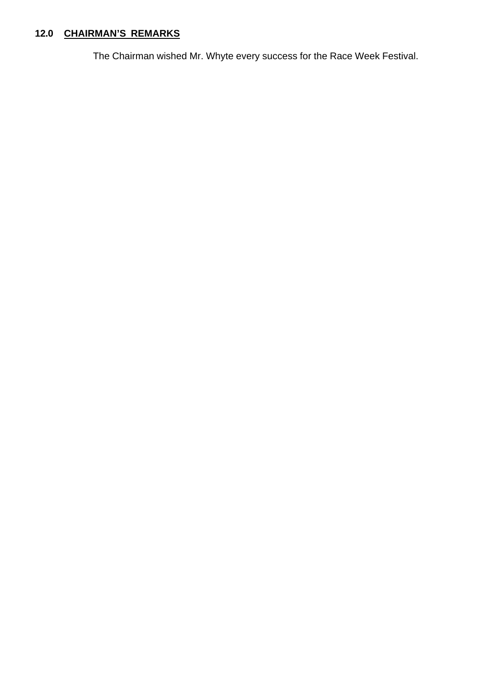# **12.0 CHAIRMAN'S REMARKS**

The Chairman wished Mr. Whyte every success for the Race Week Festival.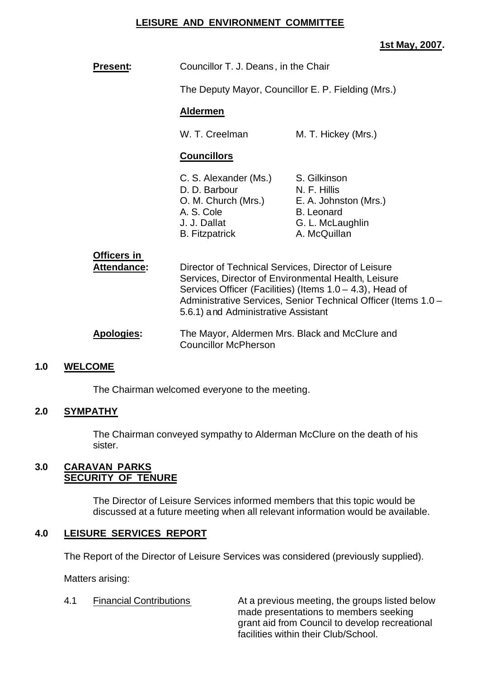#### **LEISURE AND ENVIRONMENT COMMITTEE**

#### **1st May, 2007.**

| <b>Present:</b>                   | Councillor T. J. Deans, in the Chair                                                                                                                                                                                                                                            |                                                                                                                |
|-----------------------------------|---------------------------------------------------------------------------------------------------------------------------------------------------------------------------------------------------------------------------------------------------------------------------------|----------------------------------------------------------------------------------------------------------------|
|                                   | The Deputy Mayor, Councillor E. P. Fielding (Mrs.)                                                                                                                                                                                                                              |                                                                                                                |
|                                   | <b>Aldermen</b>                                                                                                                                                                                                                                                                 |                                                                                                                |
|                                   | W. T. Creelman                                                                                                                                                                                                                                                                  | M. T. Hickey (Mrs.)                                                                                            |
|                                   | <b>Councillors</b>                                                                                                                                                                                                                                                              |                                                                                                                |
|                                   | C. S. Alexander (Ms.)<br>D. D. Barbour<br>O. M. Church (Mrs.)<br>A. S. Cole<br>J. J. Dallat<br><b>B.</b> Fitzpatrick                                                                                                                                                            | S. Gilkinson<br>N. F. Hillis<br>E. A. Johnston (Mrs.)<br><b>B.</b> Leonard<br>G. L. McLaughlin<br>A. McQuillan |
| <b>Officers in</b><br>Attendance: | Director of Technical Services, Director of Leisure<br>Services, Director of Environmental Health, Leisure<br>Services Officer (Facilities) (Items 1.0 – 4.3), Head of<br>Administrative Services, Senior Technical Officer (Items 1.0 -<br>5.6.1) and Administrative Assistant |                                                                                                                |
| <b>Apologies:</b>                 | <b>Councillor McPherson</b>                                                                                                                                                                                                                                                     | The Mayor, Aldermen Mrs. Black and McClure and                                                                 |
| <b>СОМЕ</b>                       |                                                                                                                                                                                                                                                                                 |                                                                                                                |

#### **1.0 WELCOME**

The Chairman welcomed everyone to the meeting.

#### **2.0 SYMPATHY**

The Chairman conveyed sympathy to Alderman McClure on the death of his sister.

#### **3.0 CARAVAN PARKS SECURITY OF TENURE**

The Director of Leisure Services informed members that this topic would be discussed at a future meeting when all relevant information would be available.

#### **4.0 LEISURE SERVICES REPORT**

The Report of the Director of Leisure Services was considered (previously supplied).

Matters arising:

4.1 Financial Contributions **At a previous meeting, the groups listed below** made presentations to members seeking grant aid from Council to develop recreational facilities within their Club/School.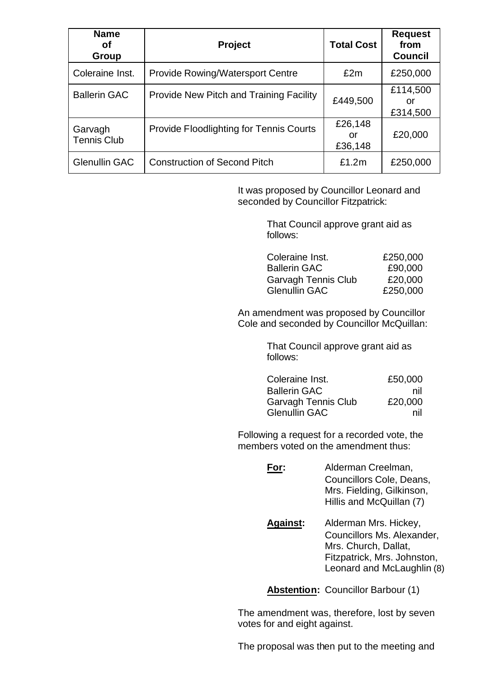| <b>Name</b><br>οf<br>Group    | <b>Project</b>                                 | <b>Total Cost</b>        | <b>Request</b><br>from<br><b>Council</b> |
|-------------------------------|------------------------------------------------|--------------------------|------------------------------------------|
| Coleraine Inst.               | <b>Provide Rowing/Watersport Centre</b>        | £2m                      | £250,000                                 |
| <b>Ballerin GAC</b>           | <b>Provide New Pitch and Training Facility</b> | £449,500                 | £114,500<br>or<br>£314,500               |
| Garvagh<br><b>Tennis Club</b> | <b>Provide Floodlighting for Tennis Courts</b> | £26,148<br>or<br>£36,148 | £20,000                                  |
| <b>Glenullin GAC</b>          | <b>Construction of Second Pitch</b>            | £1.2m                    | £250,000                                 |

It was proposed by Councillor Leonard and seconded by Councillor Fitzpatrick:

> That Council approve grant aid as follows:

| Coleraine Inst.            | £250,000 |
|----------------------------|----------|
| <b>Ballerin GAC</b>        | £90,000  |
| <b>Garvagh Tennis Club</b> | £20,000  |
| <b>Glenullin GAC</b>       | £250,000 |

An amendment was proposed by Councillor Cole and seconded by Councillor McQuillan:

> That Council approve grant aid as follows:

| Coleraine Inst.            | £50,000 |
|----------------------------|---------|
| <b>Ballerin GAC</b>        | nil     |
| <b>Garvagh Tennis Club</b> | £20,000 |
| <b>Glenullin GAC</b>       | nil     |

Following a request for a recorded vote, the members voted on the amendment thus:

| For: | Alderman Creelman,        |  |
|------|---------------------------|--|
|      | Councillors Cole, Deans,  |  |
|      | Mrs. Fielding, Gilkinson, |  |
|      | Hillis and McQuillan (7)  |  |
|      |                           |  |

**Against:** Alderman Mrs. Hickey, Councillors Ms. Alexander, Mrs. Church, Dallat, Fitzpatrick, Mrs. Johnston, Leonard and McLaughlin (8)

**Abstention:** Councillor Barbour (1)

The amendment was, therefore, lost by seven votes for and eight against.

The proposal was then put to the meeting and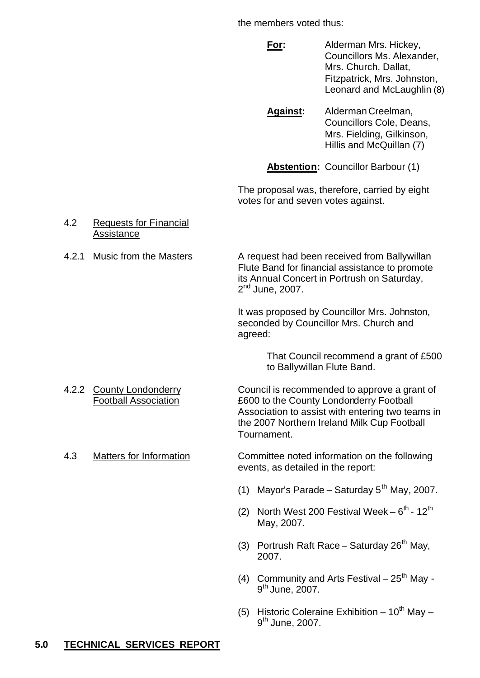the members voted thus:

**For:** Alderman Mrs. Hickey, Councillors Ms. Alexander, Mrs. Church, Dallat, Fitzpatrick, Mrs. Johnston, Leonard and McLaughlin (8)

Against: Alderman Creelman, Councillors Cole, Deans, Mrs. Fielding, Gilkinson, Hillis and McQuillan (7)

**Abstention:** Councillor Barbour (1)

The proposal was, therefore, carried by eight votes for and seven votes against.

- 4.2 Requests for Financial **Assistance**
- 

4.2.1 Music from the Masters A request had been received from Ballywillan Flute Band for financial assistance to promote its Annual Concert in Portrush on Saturday, 2<sup>nd</sup> June, 2007.

> It was proposed by Councillor Mrs. Johnston, seconded by Councillor Mrs. Church and agreed:

> > That Council recommend a grant of £500 to Ballywillan Flute Band.

- 
- 

4.2.2 County Londonderry Council is recommended to approve a grant of Football Association £600 to the County Londonderry Football Association to assist with entering two teams in the 2007 Northern Ireland Milk Cup Football Tournament.

4.3 Matters for Information Committee noted information on the following events, as detailed in the report:

- (1) Mayor's Parade Saturday  $5<sup>th</sup>$  May, 2007.
- (2) North West 200 Festival Week  $-6^{th}$  12<sup>th</sup> May, 2007.
- (3) Portrush Raft Race Saturday  $26<sup>th</sup>$  May, 2007.
- (4) Community and Arts Festival  $25<sup>th</sup>$  Mav -9<sup>th</sup> June, 2007.
- (5) Historic Coleraine Exhibition  $-10^{th}$  May  $-$ 9<sup>th</sup> June, 2007.

# **5.0 TECHNICAL SERVICES REPORT**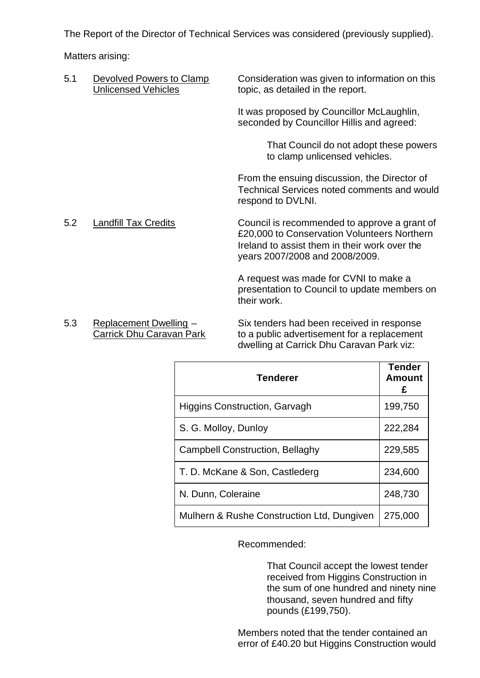The Report of the Director of Technical Services was considered (previously supplied).

Matters arising:

| 5.1 | Devolved Powers to Clamp<br><b>Unlicensed Vehicles</b> | Consideration was given to information on this<br>topic, as detailed in the report.                                                                                            |
|-----|--------------------------------------------------------|--------------------------------------------------------------------------------------------------------------------------------------------------------------------------------|
|     |                                                        | It was proposed by Councillor McLaughlin,<br>seconded by Councillor Hillis and agreed:                                                                                         |
|     |                                                        | That Council do not adopt these powers<br>to clamp unlicensed vehicles.                                                                                                        |
|     |                                                        | From the ensuing discussion, the Director of<br>Technical Services noted comments and would<br>respond to DVLNI.                                                               |
| 5.2 | <b>Landfill Tax Credits</b>                            | Council is recommended to approve a grant of<br>£20,000 to Conservation Volunteers Northern<br>Ireland to assist them in their work over the<br>years 2007/2008 and 2008/2009. |
|     |                                                        | A request was made for CVNI to make a<br>presentation to Council to update members on<br>their work.                                                                           |
| 5.3 | Replacement Dwelling -                                 | Six tenders had been received in response                                                                                                                                      |

5.3 Replacement Dwelling – Six tenders had been received in response Carrick Dhu Caravan Park to a public advertisement for a replacement dwelling at Carrick Dhu Caravan Park viz:

| <b>Tenderer</b>                            | <b>Tender</b><br><b>Amount</b><br>£ |
|--------------------------------------------|-------------------------------------|
| <b>Higgins Construction, Garvagh</b>       | 199,750                             |
| S. G. Molloy, Dunloy                       | 222,284                             |
| <b>Campbell Construction, Bellaghy</b>     | 229,585                             |
| T. D. McKane & Son, Castlederg             | 234,600                             |
| N. Dunn, Coleraine                         | 248,730                             |
| Mulhern & Rushe Construction Ltd, Dungiven | 275,000                             |

Recommended:

That Council accept the lowest tender received from Higgins Construction in the sum of one hundred and ninety nine thousand, seven hundred and fifty pounds (£199,750).

Members noted that the tender contained an error of £40.20 but Higgins Construction would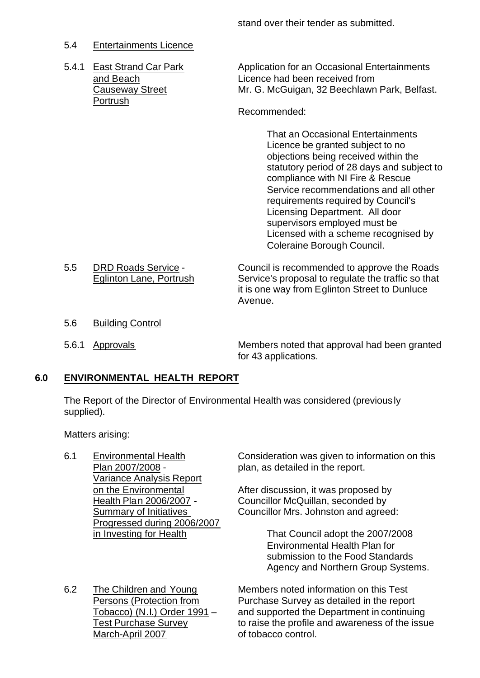stand over their tender as submitted.

# 5.4 Entertainments Licence

Portrush

5.4.1 East Strand Car Park Application for an Occasional Entertainments and Beach Licence had been received from Causeway Street Mr. G. McGuigan, 32 Beechlawn Park, Belfast.

#### Recommended:

That an Occasional Entertainments Licence be granted subject to no objections being received within the statutory period of 28 days and subject to compliance with NI Fire & Rescue Service recommendations and all other requirements required by Council's Licensing Department. All door supervisors employed must be Licensed with a scheme recognised by Coleraine Borough Council.

- 5.5 DRD Roads Service Council is recommended to approve the Roads Eglinton Lane, Portrush Service's proposal to regulate the traffic so that it is one way from Eglinton Street to Dunluce Avenue.
- 5.6 Building Control
- 

5.6.1 Approvals Members noted that approval had been granted for 43 applications.

# **6.0 ENVIRONMENTAL HEALTH REPORT**

The Report of the Director of Environmental Health was considered (previously supplied).

Matters arising:

- Variance Analysis Report Progressed during 2006/2007
- March-April 2007 of tobacco control.

6.1 Environmental Health Consideration was given to information on this Plan 2007/2008 - plan, as detailed in the report.

on the Environmental After discussion, it was proposed by Health Plan 2006/2007 - Councillor McQuillan, seconded by Summary of Initiatives **Councillor Mrs. Johnston and agreed:** 

in Investing for Health That Council adopt the 2007/2008 Environmental Health Plan for submission to the Food Standards Agency and Northern Group Systems.

6.2 The Children and Young Members noted information on this Test Persons (Protection from Purchase Survey as detailed in the report Tobacco) (N.I.) Order 1991 – and supported the Department in continuing<br>Test Purchase Survey **the interpret in the profile** and awareness of the issu to raise the profile and awareness of the issue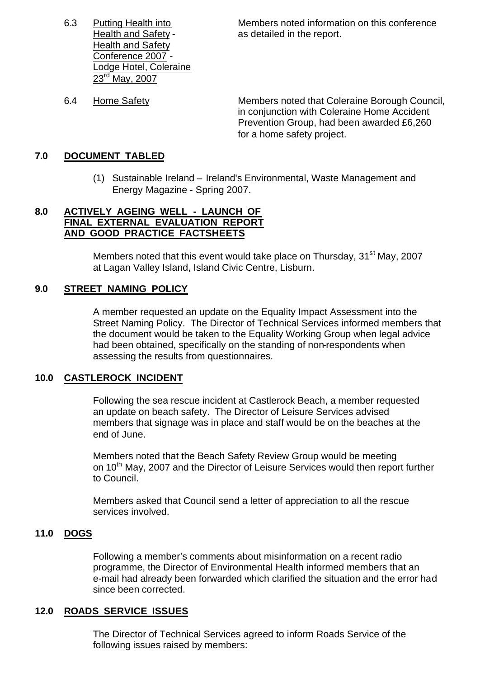Health and Safety Conference 2007 - Lodge Hotel, Coleraine 23<sup>rd</sup> May, 2007

6.3 Putting Health into Members noted information on this conference Health and Safety - The as detailed in the report.

6.4 Home Safety Members noted that Coleraine Borough Council, in conjunction with Coleraine Home Accident Prevention Group, had been awarded £6,260 for a home safety project.

### **7.0 DOCUMENT TABLED**

(1) Sustainable Ireland – Ireland's Environmental, Waste Management and Energy Magazine - Spring 2007.

#### **8.0 ACTIVELY AGEING WELL - LAUNCH OF FINAL EXTERNAL EVALUATION REPORT AND GOOD PRACTICE FACTSHEETS**

Members noted that this event would take place on Thursday, 31<sup>st</sup> May, 2007 at Lagan Valley Island, Island Civic Centre, Lisburn.

### **9.0 STREET NAMING POLICY**

A member requested an update on the Equality Impact Assessment into the Street Naming Policy. The Director of Technical Services informed members that the document would be taken to the Equality Working Group when legal advice had been obtained, specifically on the standing of non-respondents when assessing the results from questionnaires.

#### **10.0 CASTLEROCK INCIDENT**

Following the sea rescue incident at Castlerock Beach, a member requested an update on beach safety. The Director of Leisure Services advised members that signage was in place and staff would be on the beaches at the end of June.

Members noted that the Beach Safety Review Group would be meeting on 10<sup>th</sup> May, 2007 and the Director of Leisure Services would then report further to Council.

Members asked that Council send a letter of appreciation to all the rescue services involved.

#### **11.0 DOGS**

Following a member's comments about misinformation on a recent radio programme, the Director of Environmental Health informed members that an e-mail had already been forwarded which clarified the situation and the error had since been corrected.

#### **12.0 ROADS SERVICE ISSUES**

The Director of Technical Services agreed to inform Roads Service of the following issues raised by members: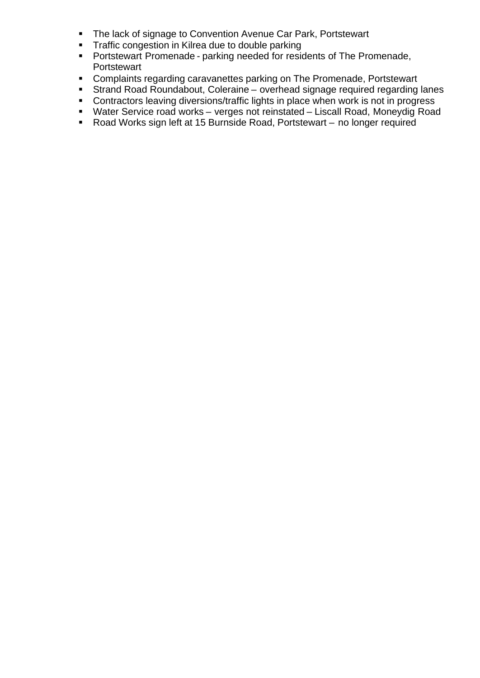- **The lack of signage to Convention Avenue Car Park, Portstewart**
- **Traffic congestion in Kilrea due to double parking**
- **Portstewart Promenade parking needed for residents of The Promenade, Portstewart**
- **Complaints regarding caravanettes parking on The Promenade, Portstewart**
- **Strand Road Roundabout, Coleraine overhead signage required regarding lanes**
- **Contractors leaving diversions/traffic lights in place when work is not in progress**
- Water Service road works verges not reinstated Liscall Road, Moneydig Road
- Road Works sign left at 15 Burnside Road, Portstewart no longer required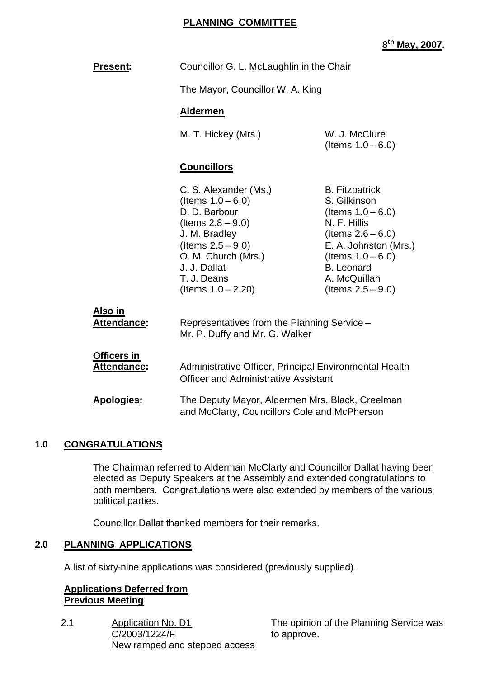#### **PLANNING COMMITTEE**

# **8 th May, 2007.**

| Present:                             | Councillor G. L. McLaughlin in the Chair                                                                                                                                                                       |                                                                                                                                                                                                                     |  |
|--------------------------------------|----------------------------------------------------------------------------------------------------------------------------------------------------------------------------------------------------------------|---------------------------------------------------------------------------------------------------------------------------------------------------------------------------------------------------------------------|--|
|                                      | The Mayor, Councillor W. A. King                                                                                                                                                                               |                                                                                                                                                                                                                     |  |
|                                      | <b>Aldermen</b>                                                                                                                                                                                                |                                                                                                                                                                                                                     |  |
|                                      | M. T. Hickey (Mrs.)                                                                                                                                                                                            | W. J. McClure<br>(Items $1.0 - 6.0$ )                                                                                                                                                                               |  |
|                                      | <b>Councillors</b>                                                                                                                                                                                             |                                                                                                                                                                                                                     |  |
|                                      | C. S. Alexander (Ms.)<br>(Items $1.0 - 6.0$ )<br>D. D. Barbour<br>(Items $2.8 - 9.0$ )<br>J. M. Bradley<br>(Items $2.5 - 9.0$ )<br>O. M. Church (Mrs.)<br>J. J. Dallat<br>T. J. Deans<br>(Items $1.0 - 2.20$ ) | <b>B.</b> Fitzpatrick<br>S. Gilkinson<br>(Items $1.0 - 6.0$ )<br>N. F. Hillis<br>(Items $2.6 - 6.0$ )<br>E. A. Johnston (Mrs.)<br>(Items $1.0 - 6.0$ )<br><b>B.</b> Leonard<br>A. McQuillan<br>(Items $2.5 - 9.0$ ) |  |
| <u>Also in</u><br><b>Attendance:</b> | Representatives from the Planning Service -<br>Mr. P. Duffy and Mr. G. Walker                                                                                                                                  |                                                                                                                                                                                                                     |  |
| Officers in<br>Attendance:           | Administrative Officer, Principal Environmental Health<br><b>Officer and Administrative Assistant</b>                                                                                                          |                                                                                                                                                                                                                     |  |
| <b>Apologies:</b>                    | The Deputy Mayor, Aldermen Mrs. Black, Creelman<br>and McClarty, Councillors Cole and McPherson                                                                                                                |                                                                                                                                                                                                                     |  |

# **1.0 CONGRATULATIONS**

The Chairman referred to Alderman McClarty and Councillor Dallat having been elected as Deputy Speakers at the Assembly and extended congratulations to both members. Congratulations were also extended by members of the various political parties.

Councillor Dallat thanked members for their remarks.

# **2.0 PLANNING APPLICATIONS**

A list of sixty-nine applications was considered (previously supplied).

#### **Applications Deferred from Previous Meeting**

2.1 Application No. D1 C/2003/1224/F New ramped and stepped access The opinion of the Planning Service was to approve.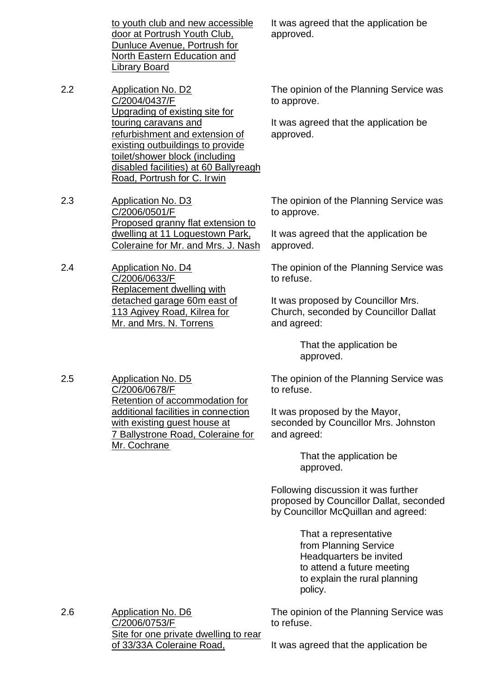to youth club and new accessible door at Portrush Youth Club, Dunluce Avenue, Portrush for North Eastern Education and Library Board

2.2 Application No. D2 C/2004/0437/F Upgrading of existing site for touring caravans and refurbishment and extension of existing outbuildings to provide toilet/shower block (including disabled facilities) at 60 Ballyreagh Road, Portrush for C. Irwin

2.3 Application No. D3 C/2006/0501/F Proposed granny flat extension to dwelling at 11 Loguestown Park, Coleraine for Mr. and Mrs. J. Nash

2.4 Application No. D4 C/2006/0633/F Replacement dwelling with detached garage 60m east of 113 Agivey Road, Kilrea for Mr. and Mrs. N. Torrens

2.5 Application No. D5 C/2006/0678/F Retention of accommodation for additional facilities in connection with existing guest house at 7 Ballystrone Road, Coleraine for Mr. Cochrane

It was agreed that the application be approved.

The opinion of the Planning Service was to approve.

It was agreed that the application be approved.

The opinion of the Planning Service was to approve.

It was agreed that the application be approved.

The opinion of the Planning Service was to refuse.

It was proposed by Councillor Mrs. Church, seconded by Councillor Dallat and agreed:

> That the application be approved.

The opinion of the Planning Service was to refuse.

It was proposed by the Mayor, seconded by Councillor Mrs. Johnston and agreed:

> That the application be approved.

Following discussion it was further proposed by Councillor Dallat, seconded by Councillor McQuillan and agreed:

> That a representative from Planning Service Headquarters be invited to attend a future meeting to explain the rural planning policy.

2.6 Application No. D6 C/2006/0753/F Site for one private dwelling to rear of 33/33A Coleraine Road, The opinion of the Planning Service was

to refuse.

It was agreed that the application be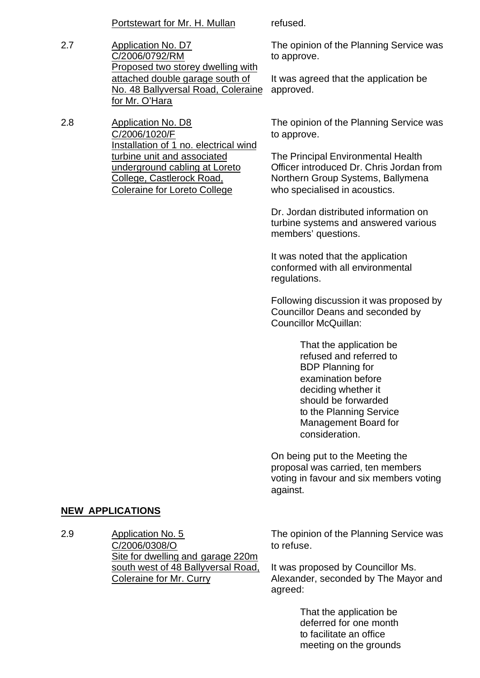Portstewart for Mr. H. Mullan refused.

- 2.7 Application No. D7 C/2006/0792/RM Proposed two storey dwelling with attached double garage south of No. 48 Ballyversal Road, Coleraine for Mr. O'Hara
- 2.8 Application No. D8 C/2006/1020/F Installation of 1 no. electrical wind turbine unit and associated underground cabling at Loreto College, Castlerock Road, Coleraine for Loreto College

The opinion of the Planning Service was to approve.

It was agreed that the application be approved.

The opinion of the Planning Service was to approve.

The Principal Environmental Health Officer introduced Dr. Chris Jordan from Northern Group Systems, Ballymena who specialised in acoustics.

Dr. Jordan distributed information on turbine systems and answered various members' questions.

It was noted that the application conformed with all environmental regulations.

Following discussion it was proposed by Councillor Deans and seconded by Councillor McQuillan:

> That the application be refused and referred to BDP Planning for examination before deciding whether it should be forwarded to the Planning Service Management Board for consideration.

On being put to the Meeting the proposal was carried, ten members voting in favour and six members voting against.

# **NEW APPLICATIONS**

2.9 Application No. 5 C/2006/0308/O Site for dwelling and garage 220m south west of 48 Ballyversal Road, Coleraine for Mr. Curry

The opinion of the Planning Service was to refuse.

It was proposed by Councillor Ms. Alexander, seconded by The Mayor and agreed:

> That the application be deferred for one month to facilitate an office meeting on the grounds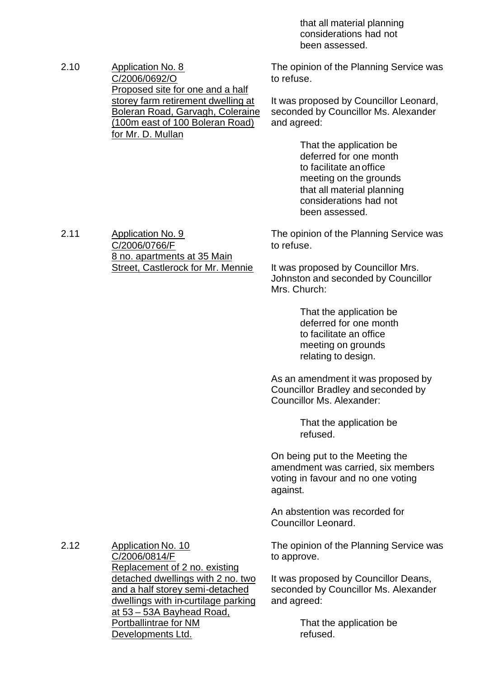that all material planning considerations had not been assessed.

2.10 Application No. 8 C/2006/0692/O Proposed site for one and a half storey farm retirement dwelling at Boleran Road, Garvagh, Coleraine (100m east of 100 Boleran Road) for Mr. D. Mullan

The opinion of the Planning Service was to refuse.

It was proposed by Councillor Leonard, seconded by Councillor Ms. Alexander and agreed:

> That the application be deferred for one month to facilitate anoffice meeting on the grounds that all material planning considerations had not been assessed.

2.11 Application No. 9 C/2006/0766/F 8 no. apartments at 35 Main Street, Castlerock for Mr. Mennie The opinion of the Planning Service was to refuse.

It was proposed by Councillor Mrs. Johnston and seconded by Councillor Mrs. Church:

> That the application be deferred for one month to facilitate an office meeting on grounds relating to design.

As an amendment it was proposed by Councillor Bradley and seconded by Councillor Ms. Alexander:

> That the application be refused.

On being put to the Meeting the amendment was carried, six members voting in favour and no one voting against.

An abstention was recorded for Councillor Leonard.

The opinion of the Planning Service was to approve.

It was proposed by Councillor Deans, seconded by Councillor Ms. Alexander and agreed:

> That the application be refused.

2.12 Application No. 10 C/2006/0814/F Replacement of 2 no. existing detached dwellings with 2 no. two and a half storey semi-detached dwellings with in-curtilage parking at 53 – 53A Bayhead Road, Portballintrae for NM Developments Ltd.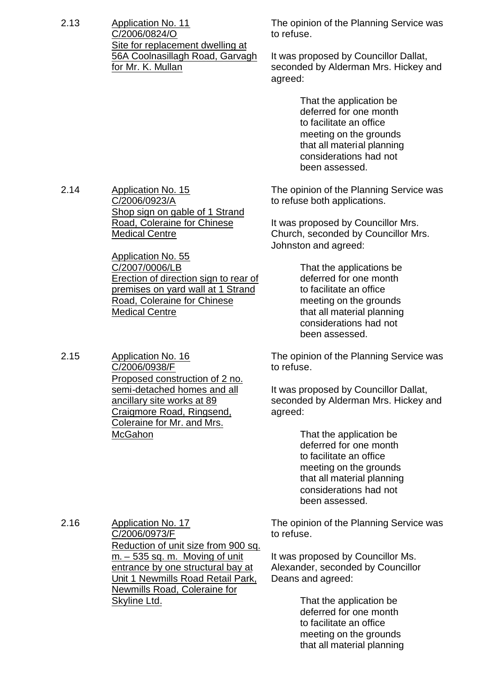2.13 Application No. 11 C/2006/0824/O Site for replacement dwelling at 56A Coolnasillagh Road, Garvagh for Mr. K. Mullan

The opinion of the Planning Service was to refuse.

It was proposed by Councillor Dallat, seconded by Alderman Mrs. Hickey and agreed:

> That the application be deferred for one month to facilitate an office meeting on the grounds that all material planning considerations had not been assessed.

The opinion of the Planning Service was to refuse both applications.

It was proposed by Councillor Mrs. Church, seconded by Councillor Mrs. Johnston and agreed:

> That the applications be deferred for one month to facilitate an office meeting on the grounds that all material planning considerations had not been assessed.

The opinion of the Planning Service was to refuse.

It was proposed by Councillor Dallat, seconded by Alderman Mrs. Hickey and agreed:

> That the application be deferred for one month to facilitate an office meeting on the grounds that all material planning considerations had not been assessed.

2.16 Application No. 17 C/2006/0973/F Reduction of unit size from 900 sq.  $m - 535$  sq. m. Moving of unit entrance by one structural bay at Unit 1 Newmills Road Retail Park, Newmills Road, Coleraine for Skyline Ltd.

The opinion of the Planning Service was to refuse.

It was proposed by Councillor Ms. Alexander, seconded by Councillor Deans and agreed:

> That the application be deferred for one month to facilitate an office meeting on the grounds that all material planning

2.14 Application No. 15 C/2006/0923/A Shop sign on gable of 1 Strand Road, Coleraine for Chinese Medical Centre

> Application No. 55 C/2007/0006/LB Erection of direction sign to rear of premises on yard wall at 1 Strand Road, Coleraine for Chinese Medical Centre

2.15 Application No. 16 C/2006/0938/F Proposed construction of 2 no. semi-detached homes and all ancillary site works at 89 Craigmore Road, Ringsend, Coleraine for Mr. and Mrs. McGahon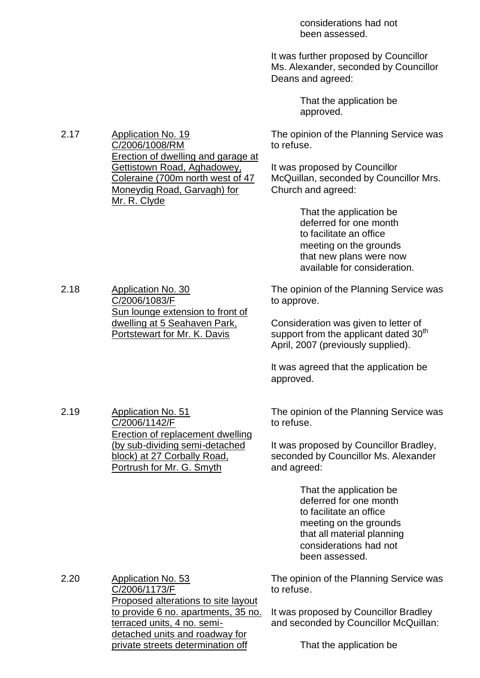considerations had not been assessed.

It was further proposed by Councillor Ms. Alexander, seconded by Councillor Deans and agreed:

> That the application be approved.

The opinion of the Planning Service was to refuse.

It was proposed by Councillor McQuillan, seconded by Councillor Mrs. Church and agreed:

> That the application be deferred for one month to facilitate an office meeting on the grounds that new plans were now available for consideration.

The opinion of the Planning Service was to approve.

Consideration was given to letter of support from the applicant dated 30<sup>th</sup> April, 2007 (previously supplied).

It was agreed that the application be approved.

The opinion of the Planning Service was to refuse.

It was proposed by Councillor Bradley, seconded by Councillor Ms. Alexander and agreed:

> That the application be deferred for one month to facilitate an office meeting on the grounds that all material planning considerations had not been assessed.

The opinion of the Planning Service was to refuse.

It was proposed by Councillor Bradley and seconded by Councillor McQuillan:

That the application be

2.17 Application No. 19 C/2006/1008/RM Erection of dwelling and garage at Gettistown Road, Aghadowey, Coleraine (700m north west of 47 Moneydig Road, Garvagh) for Mr. R. Clyde

2.18 Application No. 30 C/2006/1083/F Sun lounge extension to front of dwelling at 5 Seahaven Park, Portstewart for Mr. K. Davis

Erection of replacement dwelling (by sub-dividing semi-detached block) at 27 Corbally Road, Portrush for Mr. G. Smyth

C/2006/1142/F

2.19 Application No. 51

2.20 Application No. 53 C/2006/1173/F Proposed alterations to site layout to provide 6 no. apartments, 35 no. terraced units, 4 no. semidetached units and roadway for private streets determination off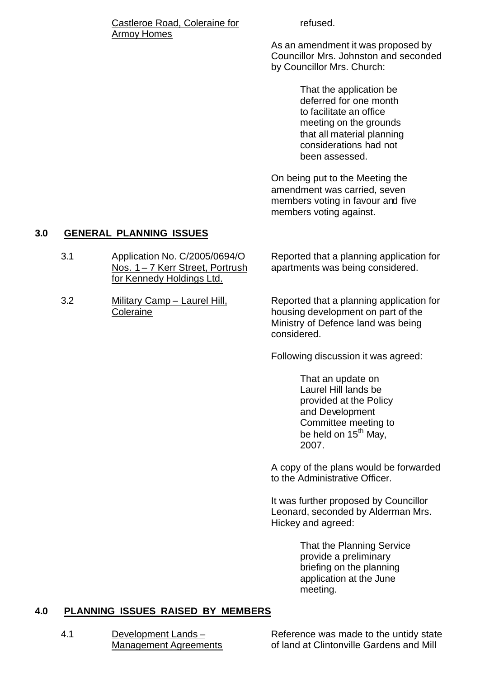#### Castleroe Road, Coleraine for Armoy Homes

refused.

As an amendment it was proposed by Councillor Mrs. Johnston and seconded by Councillor Mrs. Church:

> That the application be deferred for one month to facilitate an office meeting on the grounds that all material planning considerations had not been assessed.

On being put to the Meeting the amendment was carried, seven members voting in favour and five members voting against.

# **3.0 GENERAL PLANNING ISSUES**

- 3.1 Application No. C/2005/0694/O Nos. 1 – 7 Kerr Street, Portrush for Kennedy Holdings Ltd. Reported that a planning application for
- 3.2 Military Camp Laurel Hill, Coleraine

apartments was being considered.

Reported that a planning application for housing development on part of the Ministry of Defence land was being considered.

Following discussion it was agreed:

That an update on Laurel Hill lands be provided at the Policy and Development Committee meeting to be held on  $15<sup>th</sup>$  May, 2007.

A copy of the plans would be forwarded to the Administrative Officer.

It was further proposed by Councillor Leonard, seconded by Alderman Mrs. Hickey and agreed:

> That the Planning Service provide a preliminary briefing on the planning application at the June meeting.

# **4.0 PLANNING ISSUES RAISED BY MEMBERS**

4.1 Development Lands – Management Agreements

Reference was made to the untidy state of land at Clintonville Gardens and Mill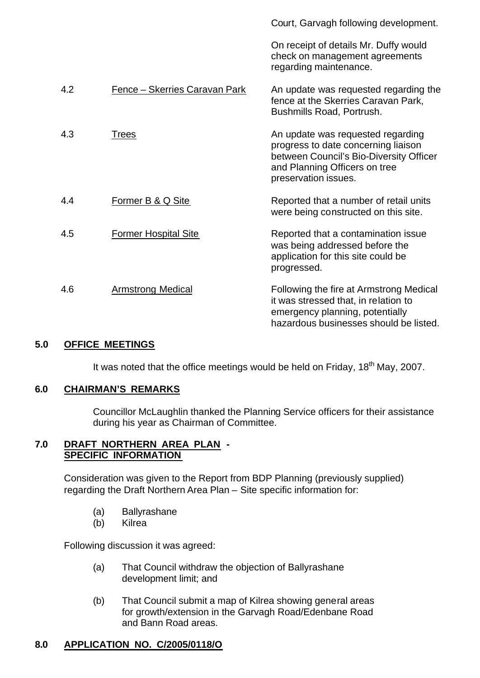|     |                               | Court, Garvagh following development.                                                                                                                                        |
|-----|-------------------------------|------------------------------------------------------------------------------------------------------------------------------------------------------------------------------|
|     |                               | On receipt of details Mr. Duffy would<br>check on management agreements<br>regarding maintenance.                                                                            |
| 4.2 | Fence - Skerries Caravan Park | An update was requested regarding the<br>fence at the Skerries Caravan Park,<br>Bushmills Road, Portrush.                                                                    |
| 4.3 | <b>Trees</b>                  | An update was requested regarding<br>progress to date concerning liaison<br>between Council's Bio-Diversity Officer<br>and Planning Officers on tree<br>preservation issues. |
| 4.4 | Former B & Q Site             | Reported that a number of retail units<br>were being constructed on this site.                                                                                               |
| 4.5 | <b>Former Hospital Site</b>   | Reported that a contamination issue<br>was being addressed before the<br>application for this site could be<br>progressed.                                                   |
| 4.6 | <b>Armstrong Medical</b>      | Following the fire at Armstrong Medical<br>it was stressed that, in relation to<br>emergency planning, potentially<br>hazardous businesses should be listed.                 |

# **5.0 OFFICE MEETINGS**

It was noted that the office meetings would be held on Friday,  $18<sup>th</sup>$  May, 2007.

# **6.0 CHAIRMAN'S REMARKS**

Councillor McLaughlin thanked the Planning Service officers for their assistance during his year as Chairman of Committee.

# **7.0 DRAFT NORTHERN AREA PLAN - SPECIFIC INFORMATION**

Consideration was given to the Report from BDP Planning (previously supplied) regarding the Draft Northern Area Plan – Site specific information for:

- (a) Ballyrashane
- (b) Kilrea

Following discussion it was agreed:

- (a) That Council withdraw the objection of Ballyrashane development limit; and
- (b) That Council submit a map of Kilrea showing general areas for growth/extension in the Garvagh Road/Edenbane Road and Bann Road areas.

# **8.0 APPLICATION NO. C/2005/0118/O**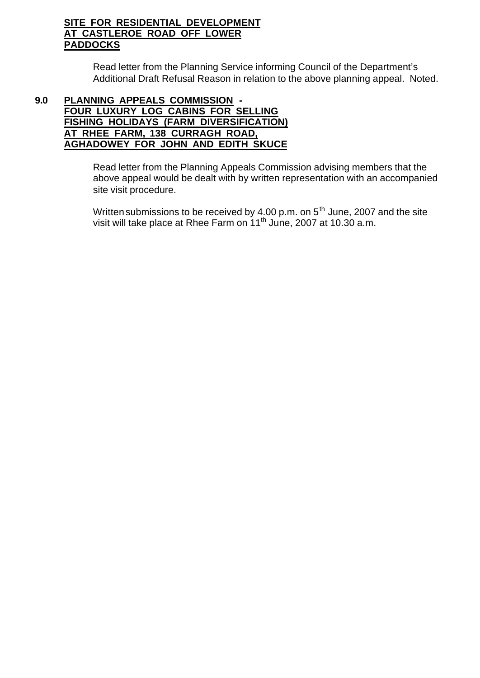# **SITE FOR RESIDENTIAL DEVELOPMENT AT CASTLEROE ROAD OFF LOWER PADDOCKS**

Read letter from the Planning Service informing Council of the Department's Additional Draft Refusal Reason in relation to the above planning appeal. Noted.

#### **9.0 PLANNING APPEALS COMMISSION - FOUR LUXURY LOG CABINS FOR SELLING FISHING HOLIDAYS (FARM DIVERSIFICATION) AT RHEE FARM, 138 CURRAGH ROAD, AGHADOWEY FOR JOHN AND EDITH SKUCE**

Read letter from the Planning Appeals Commission advising members that the above appeal would be dealt with by written representation with an accompanied site visit procedure.

Written submissions to be received by  $4.00$  p.m. on  $5<sup>th</sup>$  June, 2007 and the site visit will take place at Rhee Farm on 11<sup>th</sup> June, 2007 at 10.30 a.m.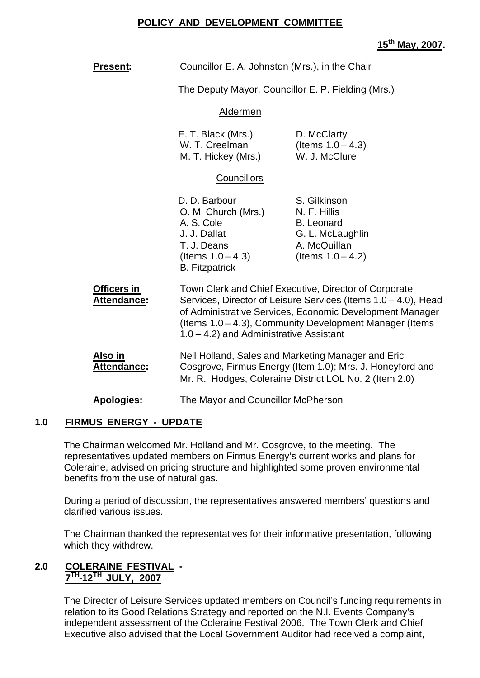#### **POLICY AND DEVELOPMENT COMMITTEE**

# **15th May, 2007.**

| <b>Present:</b>                                             | Councillor E. A. Johnston (Mrs.), in the Chair                                                                                                                                                                                                                                               |                                                                                                               |  |
|-------------------------------------------------------------|----------------------------------------------------------------------------------------------------------------------------------------------------------------------------------------------------------------------------------------------------------------------------------------------|---------------------------------------------------------------------------------------------------------------|--|
|                                                             | The Deputy Mayor, Councillor E. P. Fielding (Mrs.)                                                                                                                                                                                                                                           |                                                                                                               |  |
|                                                             | Aldermen                                                                                                                                                                                                                                                                                     |                                                                                                               |  |
| E. T. Black (Mrs.)<br>W. T. Creelman<br>M. T. Hickey (Mrs.) |                                                                                                                                                                                                                                                                                              | D. McClarty<br>(Items $1.0 - 4.3$ )<br>W. J. McClure                                                          |  |
|                                                             | Councillors                                                                                                                                                                                                                                                                                  |                                                                                                               |  |
|                                                             | D. D. Barbour<br>O. M. Church (Mrs.)<br>A. S. Cole<br>J. J. Dallat<br>T. J. Deans<br>(Items $1.0 - 4.3$ )<br><b>B.</b> Fitzpatrick                                                                                                                                                           | S. Gilkinson<br>N. F. Hillis<br><b>B.</b> Leonard<br>G. L. McLaughlin<br>A. McQuillan<br>(Items $1.0 - 4.2$ ) |  |
| <b>Officers in</b><br><b>Attendance:</b>                    | Town Clerk and Chief Executive, Director of Corporate<br>Services, Director of Leisure Services (Items 1.0 - 4.0), Head<br>of Administrative Services, Economic Development Manager<br>(Items 1.0 – 4.3), Community Development Manager (Items<br>$1.0 - 4.2$ ) and Administrative Assistant |                                                                                                               |  |
| Also in<br>Attendance:                                      | Neil Holland, Sales and Marketing Manager and Eric<br>Cosgrove, Firmus Energy (Item 1.0); Mrs. J. Honeyford and<br>Mr. R. Hodges, Coleraine District LOL No. 2 (Item 2.0)                                                                                                                    |                                                                                                               |  |
| <b>Apologies:</b>                                           | The Mayor and Councillor McPherson                                                                                                                                                                                                                                                           |                                                                                                               |  |

#### **1.0 FIRMUS ENERGY - UPDATE**

The Chairman welcomed Mr. Holland and Mr. Cosgrove, to the meeting. The representatives updated members on Firmus Energy's current works and plans for Coleraine, advised on pricing structure and highlighted some proven environmental benefits from the use of natural gas.

During a period of discussion, the representatives answered members' questions and clarified various issues.

The Chairman thanked the representatives for their informative presentation, following which they withdrew.

# **2.0 COLERAINE FESTIVAL - 7 TH -12TH JULY, 2007**

The Director of Leisure Services updated members on Council's funding requirements in relation to its Good Relations Strategy and reported on the N.I. Events Company's independent assessment of the Coleraine Festival 2006. The Town Clerk and Chief Executive also advised that the Local Government Auditor had received a complaint,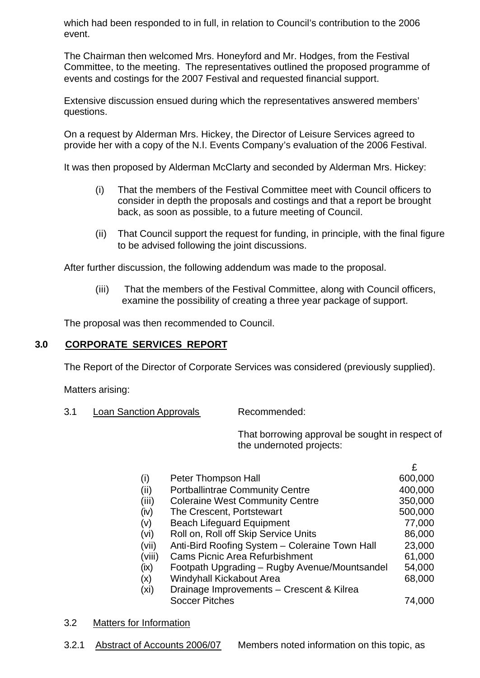which had been responded to in full, in relation to Council's contribution to the 2006 event.

The Chairman then welcomed Mrs. Honeyford and Mr. Hodges, from the Festival Committee, to the meeting. The representatives outlined the proposed programme of events and costings for the 2007 Festival and requested financial support.

Extensive discussion ensued during which the representatives answered members' questions.

On a request by Alderman Mrs. Hickey, the Director of Leisure Services agreed to provide her with a copy of the N.I. Events Company's evaluation of the 2006 Festival.

It was then proposed by Alderman McClarty and seconded by Alderman Mrs. Hickey:

- (i) That the members of the Festival Committee meet with Council officers to consider in depth the proposals and costings and that a report be brought back, as soon as possible, to a future meeting of Council.
- (ii) That Council support the request for funding, in principle, with the final figure to be advised following the joint discussions.

After further discussion, the following addendum was made to the proposal.

(iii) That the members of the Festival Committee, along with Council officers, examine the possibility of creating a three year package of support.

The proposal was then recommended to Council.

#### **3.0 CORPORATE SERVICES REPORT**

The Report of the Director of Corporate Services was considered (previously supplied).

Matters arising:

3.1 Loan Sanction Approvals Recommended:

That borrowing approval be sought in respect of the undernoted projects:

£

| (i)    | Peter Thompson Hall                            | 600,000 |
|--------|------------------------------------------------|---------|
| (ii)   | <b>Portballintrae Community Centre</b>         | 400,000 |
| (iii)  | <b>Coleraine West Community Centre</b>         | 350,000 |
| (iv)   | The Crescent, Portstewart                      | 500,000 |
| (v)    | <b>Beach Lifeguard Equipment</b>               | 77,000  |
| (vi)   | Roll on, Roll off Skip Service Units           | 86,000  |
| (vii)  | Anti-Bird Roofing System - Coleraine Town Hall | 23,000  |
| (viii) | <b>Cams Picnic Area Refurbishment</b>          | 61,000  |
| (ix)   | Footpath Upgrading - Rugby Avenue/Mountsandel  | 54,000  |
| (x)    | Windyhall Kickabout Area                       | 68,000  |
| (xi)   | Drainage Improvements - Crescent & Kilrea      |         |
|        | <b>Soccer Pitches</b>                          | 74,000  |
|        |                                                |         |

#### 3.2 Matters for Information

3.2.1 Abstract of Accounts 2006/07 Members noted information on this topic, as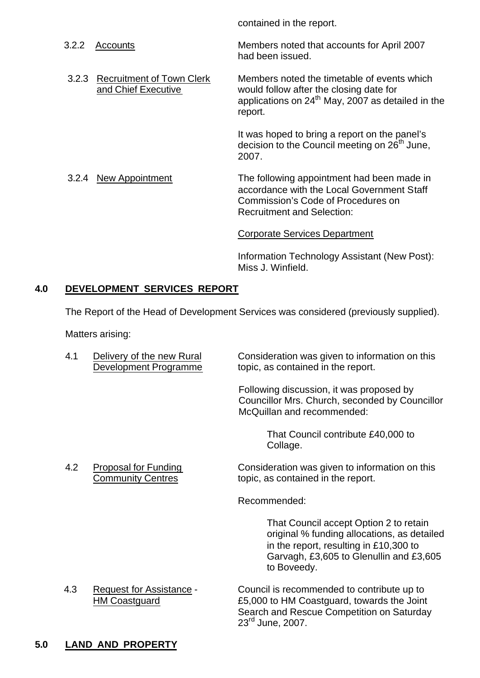| 3.2.2 | Accounts                                               | Members noted that accounts for April 2007<br>had been issued.                                                                                                      |
|-------|--------------------------------------------------------|---------------------------------------------------------------------------------------------------------------------------------------------------------------------|
|       | 3.2.3 Recruitment of Town Clerk<br>and Chief Executive | Members noted the timetable of events which<br>would follow after the closing date for<br>applications on $24th$ May, 2007 as detailed in the<br>report.            |
|       |                                                        | It was hoped to bring a report on the panel's<br>decision to the Council meeting on 26 <sup>th</sup> June,<br>2007.                                                 |
| 3.2.4 | New Appointment                                        | The following appointment had been made in<br>accordance with the Local Government Staff<br>Commission's Code of Procedures on<br><b>Recruitment and Selection:</b> |
|       |                                                        | Corporate Services Department                                                                                                                                       |

contained in the report.

Information Technology Assistant (New Post): Miss J. Winfield.

# **4.0 DEVELOPMENT SERVICES REPORT**

The Report of the Head of Development Services was considered (previously supplied).

Matters arising:

4.1 Delivery of the new Rural Consideration was given to information on this Development Programme topic, as contained in the report.

> Following discussion, it was proposed by Councillor Mrs. Church, seconded by Councillor McQuillan and recommended:

> > That Council contribute £40,000 to Collage.

4.2 Proposal for Funding Consideration was given to information on this Community Centres topic, as contained in the report.

Recommended:

That Council accept Option 2 to retain original % funding allocations, as detailed in the report, resulting in £10,300 to Garvagh, £3,605 to Glenullin and £3,605 to Boveedy.

4.3 Request for Assistance - Council is recommended to contribute up to HM Coastguard £5,000 to HM Coastguard, towards the Joint Search and Rescue Competition on Saturday 23rd June, 2007.

# **5.0 LAND AND PROPERTY**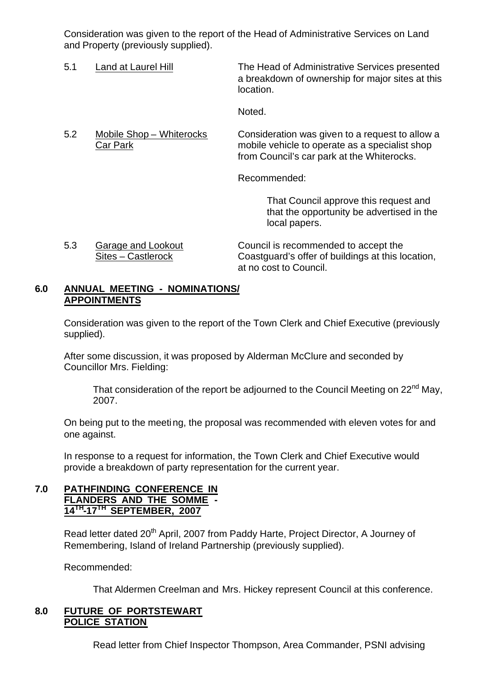Consideration was given to the report of the Head of Administrative Services on Land and Property (previously supplied).

| 5.1 | Land at Laurel Hill                  | The Head of Administrative Services presented<br>a breakdown of ownership for major sites at this<br>location.                                  |
|-----|--------------------------------------|-------------------------------------------------------------------------------------------------------------------------------------------------|
|     |                                      | Noted.                                                                                                                                          |
| 5.2 | Mobile Shop – Whiterocks<br>Car Park | Consideration was given to a request to allow a<br>mobile vehicle to operate as a specialist shop<br>from Council's car park at the Whiterocks. |
|     |                                      | Recommended:                                                                                                                                    |
|     |                                      | That Council approve this request and<br>that the opportunity be advertised in the<br>local papers.                                             |

5.3 Garage and Lookout Council is recommended to accept the Sites – Castlerock Coastguard's offer of buildings at this location, at no cost to Council.

#### **6.0 ANNUAL MEETING - NOMINATIONS/ APPOINTMENTS**

Consideration was given to the report of the Town Clerk and Chief Executive (previously supplied).

After some discussion, it was proposed by Alderman McClure and seconded by Councillor Mrs. Fielding:

That consideration of the report be adjourned to the Council Meeting on 22<sup>nd</sup> May, 2007.

On being put to the meeting, the proposal was recommended with eleven votes for and one against.

In response to a request for information, the Town Clerk and Chief Executive would provide a breakdown of party representation for the current year.

#### **7.0 PATHFINDING CONFERENCE IN FLANDERS AND THE SOMME - 14TH -17TH SEPTEMBER, 2007**

Read letter dated 20<sup>th</sup> April, 2007 from Paddy Harte, Project Director, A Journey of Remembering, Island of Ireland Partnership (previously supplied).

Recommended:

That Aldermen Creelman and Mrs. Hickey represent Council at this conference.

#### **8.0 FUTURE OF PORTSTEWART POLICE STATION**

Read letter from Chief Inspector Thompson, Area Commander, PSNI advising